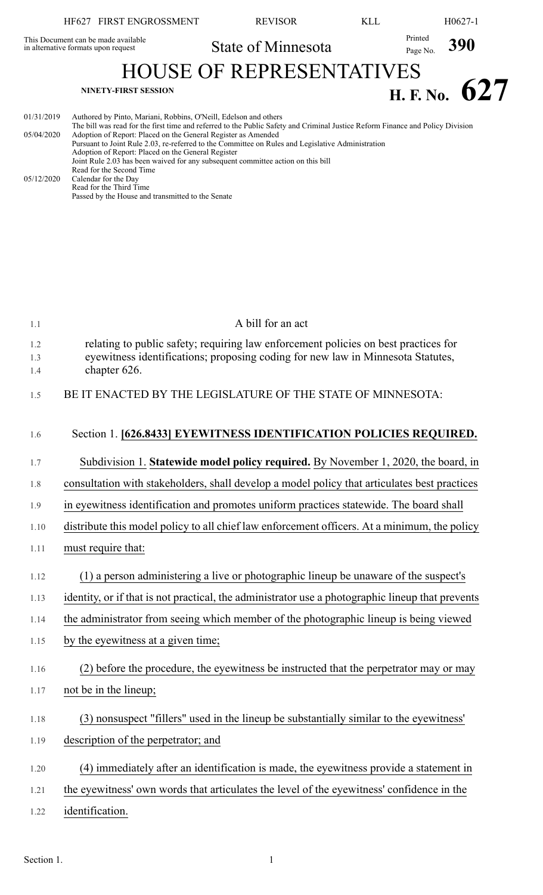|                                                                            | HF627 FIRST ENGROSSMENT                                                                                                                                                                                                                                                                                                                                                                                                                                                                                                                                                                                                                                | <b>REVISOR</b>     | KLL | H <sub>0627-1</sub>        |
|----------------------------------------------------------------------------|--------------------------------------------------------------------------------------------------------------------------------------------------------------------------------------------------------------------------------------------------------------------------------------------------------------------------------------------------------------------------------------------------------------------------------------------------------------------------------------------------------------------------------------------------------------------------------------------------------------------------------------------------------|--------------------|-----|----------------------------|
| This Document can be made available<br>in alternative formats upon request |                                                                                                                                                                                                                                                                                                                                                                                                                                                                                                                                                                                                                                                        | State of Minnesota |     | Printed<br>390<br>Page No. |
| <b>HOUSE OF REPRESENTATIVES</b>                                            |                                                                                                                                                                                                                                                                                                                                                                                                                                                                                                                                                                                                                                                        |                    |     |                            |
|                                                                            | <b>NINETY-FIRST SESSION</b>                                                                                                                                                                                                                                                                                                                                                                                                                                                                                                                                                                                                                            |                    |     | H. F. No. $627$            |
| 01/31/2019<br>05/04/2020<br>05/12/2020                                     | Authored by Pinto, Mariani, Robbins, O'Neill, Edelson and others<br>The bill was read for the first time and referred to the Public Safety and Criminal Justice Reform Finance and Policy Division<br>Adoption of Report: Placed on the General Register as Amended<br>Pursuant to Joint Rule 2.03, re-referred to the Committee on Rules and Legislative Administration<br>Adoption of Report: Placed on the General Register<br>Joint Rule 2.03 has been waived for any subsequent committee action on this bill<br>Read for the Second Time<br>Calendar for the Day<br>Read for the Third Time<br>Passed by the House and transmitted to the Senate |                    |     |                            |

| 1.1        | A bill for an act                                                                                                                                                      |
|------------|------------------------------------------------------------------------------------------------------------------------------------------------------------------------|
| 1.2<br>1.3 | relating to public safety; requiring law enforcement policies on best practices for<br>eyewitness identifications; proposing coding for new law in Minnesota Statutes, |
| 1.4        | chapter 626.                                                                                                                                                           |
| 1.5        | BE IT ENACTED BY THE LEGISLATURE OF THE STATE OF MINNESOTA:                                                                                                            |
| 1.6        | Section 1. [626.8433] EYEWITNESS IDENTIFICATION POLICIES REQUIRED.                                                                                                     |
| 1.7        | Subdivision 1. Statewide model policy required. By November 1, 2020, the board, in                                                                                     |
| 1.8        | consultation with stakeholders, shall develop a model policy that articulates best practices                                                                           |
| 1.9        | in eyewitness identification and promotes uniform practices statewide. The board shall                                                                                 |
| 1.10       | distribute this model policy to all chief law enforcement officers. At a minimum, the policy                                                                           |
| 1.11       | must require that:                                                                                                                                                     |
| 1.12       | (1) a person administering a live or photographic lineup be unaware of the suspect's                                                                                   |
| 1.13       | identity, or if that is not practical, the administrator use a photographic lineup that prevents                                                                       |
| 1.14       | the administrator from seeing which member of the photographic lineup is being viewed                                                                                  |
| 1.15       | by the eyewitness at a given time;                                                                                                                                     |
| 1.16       | (2) before the procedure, the eyewitness be instructed that the perpetrator may or may                                                                                 |
| 1.17       | not be in the lineup;                                                                                                                                                  |
| 1.18       | (3) nonsuspect "fillers" used in the lineup be substantially similar to the eyewitness'                                                                                |
| 1.19       | description of the perpetrator; and                                                                                                                                    |
| 1.20       | (4) immediately after an identification is made, the eyewitness provide a statement in                                                                                 |
| 1.21       | the eyewitness' own words that articulates the level of the eyewitness' confidence in the                                                                              |
| 1.22       | identification.                                                                                                                                                        |
|            |                                                                                                                                                                        |